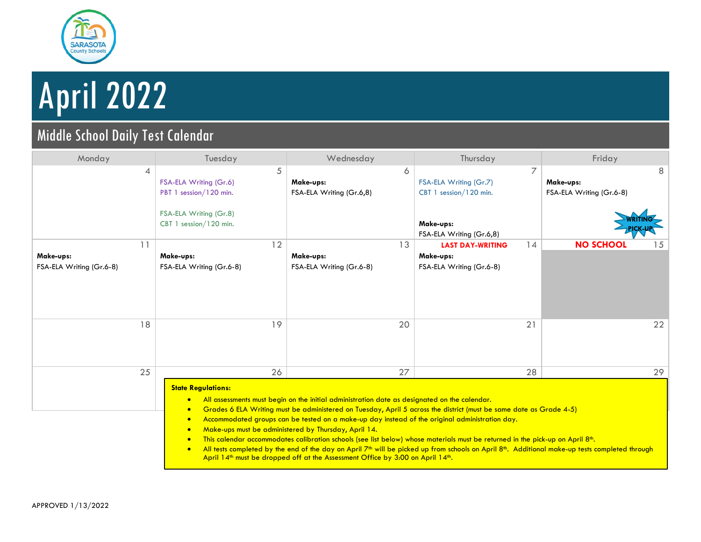

# April 2022

### Middle School Daily Test Calendar

| Monday                                      | Tuesday                                                                                                       | Wednesday                                                                                                                                                                                                                                                                                                                                                                                                                                                                                                                                                                                                                                                                                                                                                                                                              | Thursday                                                                                       | Friday                                     |
|---------------------------------------------|---------------------------------------------------------------------------------------------------------------|------------------------------------------------------------------------------------------------------------------------------------------------------------------------------------------------------------------------------------------------------------------------------------------------------------------------------------------------------------------------------------------------------------------------------------------------------------------------------------------------------------------------------------------------------------------------------------------------------------------------------------------------------------------------------------------------------------------------------------------------------------------------------------------------------------------------|------------------------------------------------------------------------------------------------|--------------------------------------------|
| 4                                           | 5<br>FSA-ELA Writing (Gr.6)<br>PBT 1 session/120 min.<br>FSA-ELA Writing (Gr.8)<br>CBT 1 session/120 min.     | 6<br>Make-ups:<br>FSA-ELA Writing (Gr.6,8)                                                                                                                                                                                                                                                                                                                                                                                                                                                                                                                                                                                                                                                                                                                                                                             | 7<br>FSA-ELA Writing (Gr.7)<br>CBT 1 session/120 min.<br>Make-ups:<br>FSA-ELA Writing (Gr.6,8) | 8<br>Make-ups:<br>FSA-ELA Writing (Gr.6-8) |
| 11<br>Make-ups:<br>FSA-ELA Writing (Gr.6-8) | 12<br>Make-ups:<br>FSA-ELA Writing (Gr.6-8)                                                                   | 13<br>Make-ups:<br>FSA-ELA Writing (Gr.6-8)                                                                                                                                                                                                                                                                                                                                                                                                                                                                                                                                                                                                                                                                                                                                                                            | 14<br><b>LAST DAY-WRITING</b><br>Make-ups:<br>FSA-ELA Writing (Gr.6-8)                         | <b>NO SCHOOL</b><br>15                     |
| 18                                          | 19                                                                                                            | 20                                                                                                                                                                                                                                                                                                                                                                                                                                                                                                                                                                                                                                                                                                                                                                                                                     | 21                                                                                             | 22                                         |
| 25                                          | 26<br><b>State Regulations:</b><br>$\bullet$<br>$\bullet$<br>$\bullet$<br>$\bullet$<br>$\bullet$<br>$\bullet$ | 27<br>All assessments must begin on the initial administration date as designated on the calendar.<br>Grades 6 ELA Writing must be administered on Tuesday, April 5 across the district (must be same date as Grade 4-5)<br>Accommodated groups can be tested on a make-up day instead of the original administration day.<br>Make-ups must be administered by Thursday, April 14.<br>This calendar accommodates calibration schools (see list below) whose materials must be returned in the pick-up on April 8 <sup>th</sup> .<br>All tests completed by the end of the day on April 7 <sup>th</sup> will be picked up from schools on April 8 <sup>th</sup> . Additional make-up tests completed through<br>April 14 <sup>th</sup> must be dropped off at the Assessment Office by 3:00 on April 14 <sup>th</sup> . | 28                                                                                             | 29                                         |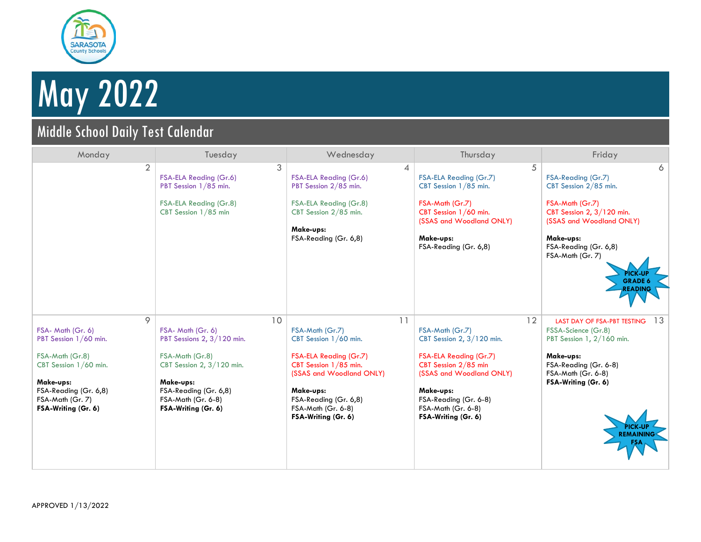

## May 2022

## Middle School Daily Test Calendar

| Monday                                                                                                                                                                       | Tuesday                                                                                                                                                                                  | Wednesday                                                                                                                                                                                                        | Thursday                                                                                                                                                                                                                     | Friday                                                                                                                                                                                                                                       |
|------------------------------------------------------------------------------------------------------------------------------------------------------------------------------|------------------------------------------------------------------------------------------------------------------------------------------------------------------------------------------|------------------------------------------------------------------------------------------------------------------------------------------------------------------------------------------------------------------|------------------------------------------------------------------------------------------------------------------------------------------------------------------------------------------------------------------------------|----------------------------------------------------------------------------------------------------------------------------------------------------------------------------------------------------------------------------------------------|
| $\overline{2}$                                                                                                                                                               | 3<br>FSA-ELA Reading (Gr.6)<br>PBT Session 1/85 min.<br>FSA-ELA Reading (Gr.8)<br>CBT Session 1/85 min                                                                                   | 4<br>FSA-ELA Reading (Gr.6)<br>PBT Session 2/85 min.<br>FSA-ELA Reading (Gr.8)<br>CBT Session 2/85 min.<br>Make-ups:<br>FSA-Reading (Gr. 6,8)                                                                    | 5<br>FSA-ELA Reading (Gr.7)<br>CBT Session 1/85 min.<br>FSA-Math (Gr.7)<br>CBT Session 1/60 min.<br>(SSAS and Woodland ONLY)<br>Make-ups:<br>FSA-Reading (Gr. 6,8)                                                           | 6<br>FSA-Reading (Gr.7)<br>CBT Session 2/85 min.<br>FSA-Math (Gr.7)<br>CBT Session 2, 3/120 min.<br>(SSAS and Woodland ONLY)<br>Make-ups:<br>FSA-Reading (Gr. 6,8)<br>FSA-Math (Gr. 7)<br><b>PICK-UP</b><br><b>GRADE 6</b><br><b>READING</b> |
| 9<br>FSA- Math (Gr. 6)<br>PBT Session 1/60 min.<br>FSA-Math (Gr.8)<br>CBT Session 1/60 min.<br>Make-ups:<br>FSA-Reading (Gr. 6,8)<br>FSA-Math (Gr. 7)<br>FSA-Writing (Gr. 6) | 10<br>FSA- Math (Gr. 6)<br>PBT Sessions 2, 3/120 min.<br>FSA-Math (Gr.8)<br>CBT Session 2, 3/120 min.<br>Make-ups:<br>FSA-Reading (Gr. 6,8)<br>FSA-Math (Gr. 6-8)<br>FSA-Writing (Gr. 6) | 11<br>FSA-Math (Gr.7)<br>CBT Session 1/60 min.<br>FSA-ELA Reading (Gr.7)<br>CBT Session 1/85 min.<br>(SSAS and Woodland ONLY)<br>Make-ups:<br>FSA-Reading (Gr. 6,8)<br>FSA-Math (Gr. 6-8)<br>FSA-Writing (Gr. 6) | 12<br>FSA-Math (Gr.7)<br>CBT Session 2, $3/120$ min.<br><b>FSA-ELA Reading (Gr.7)</b><br>CBT Session 2/85 min<br>(SSAS and Woodland ONLY)<br>Make-ups:<br>FSA-Reading (Gr. 6-8)<br>FSA-Math (Gr. 6-8)<br>FSA-Writing (Gr. 6) | 13<br><b>LAST DAY OF FSA-PBT TESTING</b><br>FSSA-Science (Gr.8)<br>PBT Session 1, 2/160 min.<br>Make-ups:<br>FSA-Reading (Gr. 6-8)<br>FSA-Math (Gr. 6-8)<br>FSA-Writing (Gr. 6)<br><b>REMAINING</b>                                          |